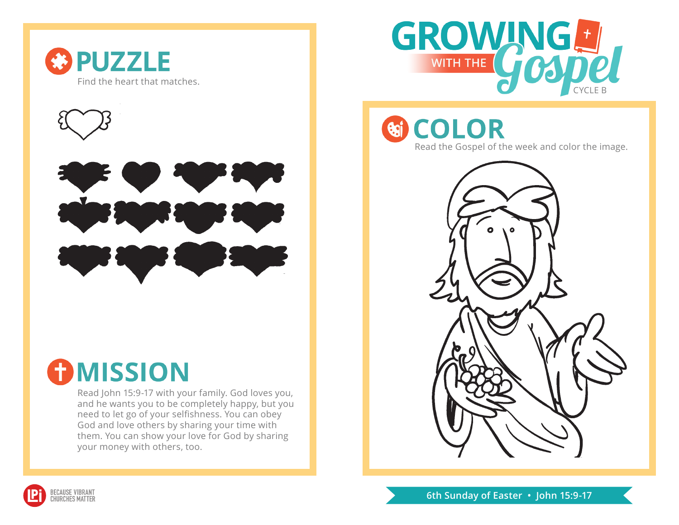





## **OMISSION**

Read John 15:9-17 with your family. God loves you, and he wants you to be completely happy, but you need to let go of your selfishness. You can obey God and love others by sharing your time with them. You can show your love for God by sharing your money with others, too.



**GI COLOR** Read the Gospel of the week and color the image.